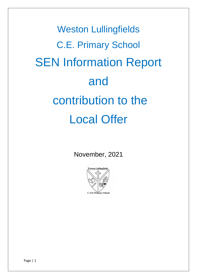Weston Lullingfields C.E. Primary School SEN Information Report and contribution to the Local Offer

November, 2021

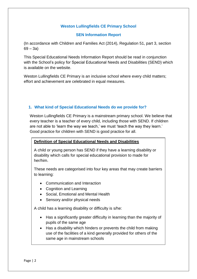# **Weston Lullingfields CE Primary School**

## **SEN Information Report**

(In accordance with Children and Families Act (2014), Regulation 51, part 3, section  $69 - 3a$ 

This Special Educational Needs Information Report should be read in conjunction with the School's policy for Special Educational Needs and Disabilities (SEND) which is available on the website.

Weston Lullingfields CE Primary is an inclusive school where every child matters; effort and achievement are celebrated in equal measures.

## **1. What kind of Special Educational Needs do we provide for?**

Weston Lullingfields CE Primary is a mainstream primary school. We believe that every teacher is a teacher of every child, including those with SEND. If children are not able to 'learn the way we teach,' we must 'teach the way they learn.' Good practice for children with SEND is good practice for all.

#### **Definition of Special Educational Needs and Disabilities**

A child or young person has SEND if they have a learning disability or disability which calls for special educational provision to made for her/him.

These needs are categorised into four key areas that may create barriers to learning:

- Communication and Interaction
- Cognition and Learning
- Social, Emotional and Mental Health
- Sensory and/or physical needs

A child has a learning disability or difficulty is s/he:

- Has a significantly greater difficulty in learning than the majority of pupils of the same age
- Has a disability which hinders or prevents the child from making use of the facilities of a kind generally provided for others of the same age in mainstream schools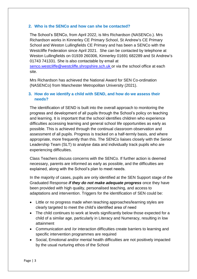## **2. Who is the SENCo and how can she be contacted?**

The School's SENCo, from April 2022, is Mrs Richardson (NASENCo.). Mrs Richardson works in Kinnerley CE Primary School, St Andrew's CE Primary School and Weston Lullingfields CE Primary and has been a SENCo with the Westcliffe Federation since April 2021. She can be contacted by telephone at Weston Lullingfields on 01939 260306, Kinnerley 01691 682289 and St Andrew's 01743 741331. She is also contactable by email at

[senco.westcliffe@westcliffe.shropshire.sch.uk](mailto:senco.westcliffe@westcliffe.shropshire.sch.uk) or via the school office at each site.

Mrs Richardson has achieved the National Award for SEN Co-ordination (NASENCo) from Manchester Metropolitan University (2021).

## **3. How do we identify a child with SEND, and how do we assess their needs?**

The identification of SEND is built into the overall approach to monitoring the progress and development of all pupils through the School's policy on teaching and learning. It is important that the school identifies children who experience difficulties accessing learning and general school life opportunities as early as possible. This is achieved through the continual classroom observation and assessment of all pupils. Progress is tracked on a half-termly basis, and where appropriate, more frequently than this. The SENCo liaises closely with the Senior Leadership Team (SLT) to analyse data and individually track pupils who are experiencing difficulties.

Class Teachers discuss concerns with the SENCo. If further action is deemed necessary, parents are informed as early as possible, and the difficulties are explained, along with the School's plan to meet needs.

In the majority of cases, pupils are only identified at the SEN Support stage of the Graduated Response *if they do not make adequate progress* once they have been provided with high quality, personalised teaching, and access to adaptations and intervention. Triggers for the identification of SEN could be:

- Little or no progress made when teaching approaches/learning styles are clearly targeted to meet the child's identified area of need
- The child continues to work at levels significantly below those expected for a child of a similar age, particularly in Literacy and Numeracy, resulting in low attainment
- Communication and /or interaction difficulties create barriers to learning and specific intervention programmes are required
- Social, Emotional and/or mental health difficulties are not positively impacted by the usual nurturing ethos of the School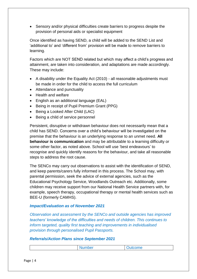Sensory and/or physical difficulties create barriers to progress despite the provision of personal aids or specialist equipment

Once identified as having SEND, a child will be added to the SEND List and 'additional to' and 'different from' provision will be made to remove barriers to learning.

Factors which are NOT SEND related but which may affect a child's progress and attainment, are taken into consideration, and adaptations are made accordingly. These may include:

- A disability under the Equality Act (2010) all reasonable adjustments must be made in order for the child to access the full curriculum
- Attendance and punctuality
- Health and welfare
- English as an additional language (EAL)
- Being in receipt of Pupil Premium Grant (PPG)
- Being a Looked After Child (LAC)
- Being a child of service personnel

Persistent, disruptive or withdrawn behaviour does not necessarily mean that a child has SEND. Concerns over a child's behaviour will be investigated on the premise that the behaviour is an underlying response to an unmet need. **All behaviour is communication** and may be attributable to a learning difficulty or some other factor, as noted above. School will use 'best endeavours' to recognise and quickly identify reasons for the behaviour, and take all reasonable steps to address the root cause.

The SENCo may carry out observations to assist with the identification of SEND, and keep parents/carers fully informed in this process. The School may, with parental permission, seek the advice of external agencies, such as the Educational Psychology Service, Woodlands Outreach etc. Additionally, some children may receive support from our National Health Service partners with, for example, speech therapy, occupational therapy or mental health services such as BEE-U (formerly CAMHS).

#### *Impact/Evaluation as of November 2021*

*Observation and assessment by the SENCo and outside agencies has improved teachers' knowledge of the difficulties and needs of children. This continues to inform targeted, quality first teaching and improvements in individualised provision through personalised Pupil Passports.*

#### *Referrals/Action Plans since September 2021*

| . .<br>umber | $\mathsf{Lome}$ |
|--------------|-----------------|
|              |                 |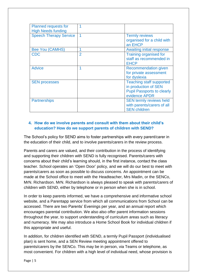| <b>Planned requests for</b><br><b>High Needs funding</b> |                |                                                                                                               |
|----------------------------------------------------------|----------------|---------------------------------------------------------------------------------------------------------------|
| <b>Speech Therapy Service</b>                            | 1              | <b>Termly reviews</b><br>organised for a child with<br>an EHCP                                                |
| <b>Bee You (CAMHS)</b>                                   | 1              | <b>Awaiting initial response</b>                                                                              |
| <b>CDC</b>                                               | $\overline{2}$ | <b>Training organised for</b><br>staff as recommended in<br><b>EHCP</b>                                       |
| <b>Advice</b>                                            |                | <b>Recommendation given</b><br>for private assessment<br>for dyslexia                                         |
| <b>SEN processes</b>                                     |                | <b>Teaching staff supported</b><br>in production of SEN<br><b>Pupil Passports to clearly</b><br>evidence APDR |
| <b>Partnerships</b>                                      |                | <b>SEN termly reviews held</b><br>with parents/carers of all<br><b>SEN children</b>                           |

# **4. How do we involve parents and consult with them about their child's education? How do we support parents of children with SEND?**

The School's policy for SEND aims to foster partnerships with every parent/carer in the education of their child, and to involve parents/carers in the review process.

Parents and carers are valued, and their contribution in the process of identifying and supporting their children with SEND is fully recognised. Parents/carers with concerns about their child's learning should, in the first instance, contact the class teacher. School operates an 'Open Door' policy, and we will do our best to meet with parents/carers as soon as possible to discuss concerns. An appointment can be made at the School office to meet with the Headteacher, Mrs Madin, or the SENCo, MrN. Richardson. MrN. Richardson is always pleased to speak with parents/carers of children with SEND, either by telephone or in person when she is in school.

In order to keep parents informed, we have a comprehensive and informative school website, and a Parentapp service from which all communications from School can be accessed. There are two Parents' Evenings per year, and an annual report which encourages parental contribution. We also also offer parent information sessions throughout the year, to support understanding of curriculum areas such as literacy and numeracy. We may also introduce a Home School Book for individual children if this appropriate and useful.

In addition, for children identified with SEND, a termly Pupil Passport (individualised plan) is sent home, and a SEN Review meeting appointment offered to parents/carers by the SENCo. This may be in person, via Teams or telephone, as most convenient. For children with a high level of individual need, whose provision is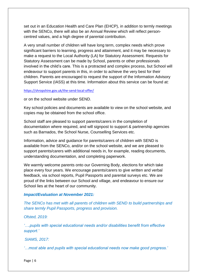set out in an Education Health and Care Plan (EHCP), in addition to termly meetings with the SENCo, there will also be an Annual Review which will reflect personcentred values, and a high degree of parental contribution.

A very small number of children will have long term, complex needs which prove significant barriers to learning, progress and attainment, and it may be necessary to make a request to the Local Authority (LA) for Statutory Assessment. Requests for Statutory Assessment can be made by School, parents or other professionals involved in the child's care. This is a protracted and complex process, but School will endeavour to support parents in this, in order to achieve the very best for their children. Parents are encouraged to request the support of the Information Advisory Support Service (IASS) at this time. Information about this service can be found at:

#### <https://shropshire.gov.uk/the-send-local-offer/>

or on the school website under SEND.

Key school policies and documents are available to view on the school website, and copies may be obtained from the school office.

School staff are pleased to support parents/carers in the completion of documentation where required, and will signpost to support & partnership agencies such as Barnados, the School Nurse, Counselling Services etc.

Information, advice and guidance for parents/carers of children with SEND is available from the SENCo, and/or on the school website, and we are pleased to support parents/carers with additional needs in, for example, reading documents, understanding documentation, and completing paperwork.

We warmly welcome parents onto our Governing Body, elections for which take place every four years. We encourage parents/carers to give written and verbal feedback, via school reports, Pupil Passports and parental surveys etc. We are proud of the links between our School and village, and endeavour to ensure our School lies at the heart of our community.

#### *Impact/Evaluation at November 2021:*

*The SENCo has met with all parents of children with SEND to build partnerships and share termly Pupil Passports, progress and provision.* 

*Ofsted, 2019:* 

*'….pupils with special educational needs and/or disabilities benefit from effective support.'*

*SIAMS, 2017:*

*'…most able and pupils with special educational needs now make good progress.'*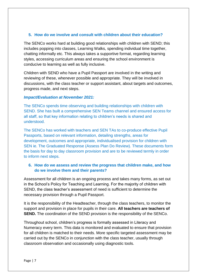# **5. How do we involve and consult with children about their education?**

The SENCo works hard at building good relationships with children with SEND; this includes popping into classes, Learning Walks, spending individual time together, chatting informally etc. This always takes a supportive format, regarding learning styles, accessing curriculum areas and ensuring the school environment is conducive to learning as well as fully inclusive.

Children with SEND who have a Pupil Passport are involved in the writing and reviewing of these, whenever possible and appropriate. They will be involved in discussions, with the class teacher or support assistant, about targets and outcomes, progress made, and next steps.

## *Impact/Evaluation at November 2021:*

The SENCo spends time observing and building relationships with children with SEND. She has built a comprehensive SEN Teams channel and ensured access for all staff, so that key information relating to children's needs is shared and understood.

The SENCo has worked with teachers and SEN TAs to co-produce effective Pupil Passports, based on relevant information, detailing strengths, areas for development, outcomes and appropriate, individualised provision for children with SEN ie. The Graduated Response (Assess Plan Do Review). These documents form the basis for day to day classroom provision and are to be reviewed termly in order to inform next steps.

# **6. How do we assess and review the progress that children make, and how do we involve them and their parents?**

Assessment for all children is an ongoing process and takes many forms, as set out in the School's Policy for Teaching and Learning. For the majority of children with SEND, the class teacher's assessment of need is sufficient to determine the necessary provision through a Pupil Passport.

It is the responsibility of the Headteacher, through the class teachers, to monitor the support and provision in place for pupils in their care. **All teachers are teachers of SEND.** The coordination of the SEND provision is the responsibility of the SENCo.

Throughout school, children's progress is formally assessed in Literacy and Numeracy every term. This data is monitored and evaluated to ensure that provision for all children is matched to their needs. More specific targeted assessment may be carried out by the SENCo in conjunction with the class teacher, usually through classroom observation and occasionally using diagnostic tools.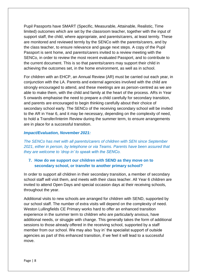Pupil Passports have SMART (Specific, Measurable, Attainable, Realistic, Time limited) outcomes which are set by the classroom teacher, together with the input of support staff, the child, where appropriate, and parents/carers, at least termly. These are monitored and reviewed termly by the SENCo with the parents/carers, and by the class teacher, to ensure relevance and gauge next steps. A copy of the Pupil Passport is sent home, and parents/carers invited to a review meeting with the SENCo, in order to review the most recent evaluated Passport, and to contribute to the current document. This is so that parents/carers may support their child in achieving the outcomes set, in the home environment, as well as in school.

For children with an EHCP, an Annual Review (AR) must be carried out each year, in conjunction with the LA. Parents and external agencies involved with the child are strongly encouraged to attend, and these meetings are as person-centred as we are able to make them, with the child and family at the heart of the process. ARs in Year 5 onwards emphasise the need to prepare a child carefully for secondary transition, and parents are encouraged to begin thinking carefully about their choice of secondary school early. The SENCo of the receiving secondary school will be invited to the AR in Year 6, and it may be necessary, depending on the complexity of need, to hold a Transfer/Interim Review during the summer term, to ensure arrangements are in place for a successful transition.

## *Impact/Evaluation, November 2021:*

*The SENCo has met with all parents/carers of children with SEN since September 2021, either in person, by telephone or via Teams. Parents have been assured that they are welcome to 'drop in' to speak with the SENCo.*

# **7. How do we support our children with SEND as they move on to secondary school, or transfer to another primary school?**

In order to support all children in their secondary transition, a member of secondary school staff will visit them, and meets with their class teacher. All Year 6 children are invited to attend Open Days and special occasion days at their receiving schools, throughout the year.

Additional visits to new schools are arranged for children with SEND, supported by our school staff. The number of extra visits will depend on the complexity of need. Weston Lullingfields CE Primary works hard to offer an enhanced transition experience in the summer term to children who are particularly anxious, have additional needs, or struggle with change. This generally takes the form of additional sessions to those already offered in the receiving school, supported by a staff member from our school. We may also 'buy in' the specialist support of outside agencies as part of this enhanced transition, if we feel it will lead to a successful move.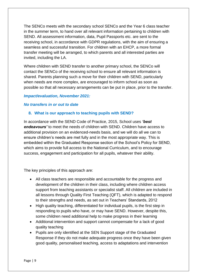The SENCo meets with the secondary school SENCo and the Year 6 class teacher in the summer term, to hand over all relevant information pertaining to children with SEND. All assessment information, data, Pupil Passports etc. are sent to the receiving school, in accordance with GDPR regulations, with the aim of ensuring a seamless and successful transition. For children with an EHCP, a more formal transfer meeting will be arranged, to which parents and all interested parties are invited, including the LA.

Where children with SEND transfer to another primary school, the SENCo will contact the SENCo of the receiving school to ensure all relevant information is shared. Parents planning such a move for their children with SEND, particularly when needs are more complex, are encouraged to inform school as soon as possible so that all necessary arrangements can be put in place, prior to the transfer.

## *Impact/evaluation, November 2021:*

#### *No transfers in or out to date*

## **8. What is our approach to teaching pupils with SEND?**

In accordance with the SEND Code of Practice, 2015, School uses *'best endeavours'* to meet the needs of children with SEND. Children have access to additional provision on an evidenced-needs basis, and we will do all we can to ensure children's needs are met fully and in the most appropriate way. This is embedded within the Graduated Response section of the School's Policy for SEND, which aims to provide full access to the National Curriculum, and to encourage success, engagement and participation for all pupils, whatever their ability.

The key principles of this approach are:

- All class teachers are responsible and accountable for the progress and development of the children in their class, including where children access support from teaching assistants or specialist staff. All children are included in all lessons through Quality First Teaching (QFT), which is adapted to respond to their strengths and needs, as set out in Teachers' Standards, 2012
- High quality teaching, differentiated for individual pupils, is the first step in responding to pupils who have, or may have SEND. However, despite this, some children need additional help to make progress in their learning
- Additional intervention and support cannot compensate for a lack of good quality teaching
- Pupils are only identified at the SEN Support stage of the Graduated Response if they do not make adequate progress once they have been given good quality, personalised teaching, access to adaptations and intervention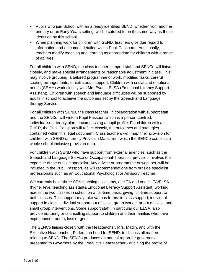- Pupils who join School with an already identified SEND, whether from another primary or an Early Years setting, will be catered for in the same way as those identified by this school
- When planning work for children with SEND, teachers give due regard to information and outcomes detailed within Pupil Passports. Additionally, teachers modify teaching and learning as appropriate for children with a range of abilities

For all children with SEND, the class teacher, support staff and SENCo will liaise closely, and make special arrangements or reasonable adjustment in class. This may involve grouping, a tailored programme of work, modified tasks, careful seating arrangements, or extra adult support. Children with social and emotional needs (SEMH) work closely with Mrs Evans, ELSA (Emotional Literacy Support Assistant). Children with speech and language difficulties will be supported by adults in school to achieve the outcomes set by the Speech and Language therapy Service.

For all children with SEND, the class teacher, in collaboration with support staff and the SENCo, will write a Pupil Passport which is a person-centred, individualised, termly plan, encompassing a pupil profile. For children with an EHCP, the Pupil Passport will reflect closely, the outcomes and strategies contained within this legal document. Class teachers will 'map' their provision for children with SEND on termly Provision Maps from which the SENCo compiles a whole school inclusive provision map.

For children with SEND who have support from external agencies, such as the Speech and Language Service or Occupational Therapist, provision involves the expertise of the outside specialist. Any advice or programme of work set, will be included in the Pupil Passport, as will recommendations from outside specialist professionals such as an Educational Psychologist or Advisory Teacher.

We currently have three SEN teaching assistants, one TA and one HLTA/ELSA (higher level teaching assistants/Emotional Literacy Support Assistant) working across the two classes in school on a full-time basis, giving full-time support to both classes. This support may take various forms: in-class support, individual support in class, individual support out of class, group work in or out of class, and small group interventions. Some support staff, in particular our ELSA, also provide nurturing or counselling support to children and their families who have experienced trauma, loss or grief.

The SENCo liaises closely with the Headteacher, Mrs. Madin, and with the Executive Headteacher, Federation Lead for SEND, to discuss all matters relating to SEND. The SENCo produces an annual report for governors – presented to Governors by the Executive Headteacher - outlining the profile of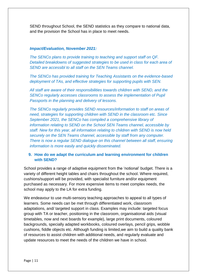SEND throughout School, the SEND statistics as they compare to national data, and the provision the School has in place to meet needs.

#### *Impact/Evaluation, November 2021:*

*The SENCo plans to provide training to teaching and support staff on QF. Detailed breakdowns of suggested strategies to be used in class for each area of SEND are accessibl to all staff on the SEN Teams channel.*

*The SENCo has provided training for Teaching Assistants on the evidence-based deployment of TAs, and effective strategies for supporting pupils with SEN.* 

*All staff are aware of their responsibilities towards children with SEND, and the SENCo regularly accesses classrooms to assess the implementation of Pupil Passports in the planning and delivery of lessons.*

*The SENCo regularly provides SEND resources/information to staff on areas of need, strategies for supporting children with SEND in the classroom etc. Since September 2021, the SENCo has compiled a comprehensive library of information relating to SEND on the School SEN Teams channel, accessible by staff. New for this year, all information relating to children with SEND is now held securely on the SEN Teams channel, accessible by staff from any computer. There is now a regular SEND dialogue on this channel between all staff, ensuring information is more easily and quickly disseminated.*

## **9. How do we adapt the curriculum and learning environment for children with SEND?**

School provides a range of adaptive equipment from the 'notional' budget. There is a variety of different height tables and chairs throughout the school. Where required, cushions/support will be provided, with specialist furniture and/or equipment purchased as necessary. For more expensive items to meet complex needs, the school may apply to the LA for extra funding.

We endeavour to use multi-sensory teaching approaches to appeal to all types of learners. Some needs can be met through differentiated work, classroom adaptations, and/ targeted support in class. Examples may include: targeted focus group with TA or teacher, positioning in the classroom, organisational aids (visual timetables, now and next boards for example), large print documents, coloured backgrounds, specially adapted workbooks, coloured overlays, pencil grips, wobble cushions, fiddle objects etc. Although funding is limited,we aim to build a quality bank of resources to assist children with additional needs, and regularly evaluate and update resources to meet the needs of the children we have in school.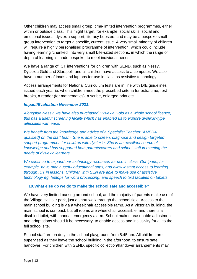Other children may access small group, time-limited intervention programmes, either within or outside class. This might target, for example, social skills, social and emotional issues, dyslexia support, literacy boosters and may be a bespoke small group intervention to target a specific, current issue. A very small minority of children will require a highly personalised programme of intervention, which could include having learning 'chunked' into very small bite-sized sections, in which the range or depth of learning is made bespoke, to meet individual needs.

We have a range of ICT interventions for children with SEND, such as Nessy, Dyslexia Gold and Starspell, and all children have access to a computer. We also have a number of ipads and laptops for use in class as assistive technology.

Access arrangements for National Curriculum tests are in line with DfE guidelines issued each year ie. when children meet the prescribed criteria for extra time, rest breaks, a reader (for mathematics), a scribe, enlarged print etc.

#### *Impact/Evaluation November 2021:*

*Alongside Nessy, we have also purchased Dyslexia Gold as a whole school licence; this has a useful screening facility which has enabled us to explore dyslexic-type difficulties with ease.* 

*We benefit from the knowledge and advice of a Specialist Teacher (AMBDA qualified) on the staff team. She is able to screen, diagnose and design targeted support programmes for children with dyslexia. She is an excellent source of knowledge and has supported both parents/carers and school staff in meeting the needs of dyslexic learners.* 

*We continue to expand our technology resources for use in class. Our ipads, for example, have many useful educational apps, and allow instant access to learning through ICT in lessons. Children with SEN are able to make use of assistive technology eg. laptops for word processing, and speech to text facilities on tablets.*

#### **10.What else do we do to make the school safe and accessible?**

We have very limited parking around school, and the majority of parents make use of the Village Hall car park, just a short walk through the school field. Access to the main school building is via a wheelchair accessible ramp. As a Victorian building, the main school is compact, but all rooms are wheelchair accessible, and there is a disabled toilet, with manual emergency alarm. School makes reasonable adjustment and adaptations should it be necessary, to enable access and inclusivity for all to the full school site.

School staff are on duty in the school playground from 8.45 am. All children are supervised as they leave the school building in the afternoon, to ensure safe handover. For children with SEND, specific collection/handover arrangements may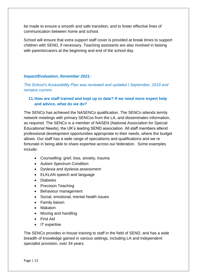be made to ensure a smooth and safe transition, and to foster effective lines of communication between home and school.

School will ensure that extra support staff cover is provided at break times to support children with SEND, if necessary. Teaching assistants are also involved in liaising with parents/carers at the beginning and end of the school day.

## *Impact/Evaluation, November 2021:*

*The School's Accessibility Plan was reviewed and updated I September, 2019 and remains current.*

## **11.How are staff trained and kept up to date? If we need more expert help and advice, what do we do?**

The SENCo has achieved the NASENCo qualification. The SENCo attends termly network meetings with primary SENCos from the LA, and disseminates information, as required. The SENCo is a member of NASEN (National Association for Special Educational Needs), the UK's leading SEND association. All staff members attend professional development opportunities appropriate to their needs, where the budget allows. Our staff has a wide range of specialisms and qualifications and we re fortunate in being able to share expertise across our federation. Some examples include:

- Counselling: grief, loss, anxiety, trauma
- Autism Spectrum Condition
- Dyslexia and dyslexia assessment
- ELKLAN speech and language
- Diabetes
- Precision Teaching
- Behaviour management
- Social, emotional, mental health issues
- Family liaison
- Makaton
- Moving and handling
- First Aid
- IT expertise

The SENCo provides in-house training to staff in the field of SEND, and has a wide breadth of knowledge gained in various settings, including LA and independent specialist provision, over 34 years.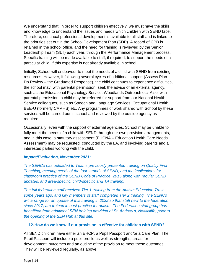We understand that, in order to support children effectively, we must have the skills and knowledge to understand the issues and needs which children with SEND face. Therefore, continual professional development is available to all staff and is linked to the priorities set out in the School Development Plan (SDP). A record of CPD is retained in the school office, and the need for training is reviewed by the Senior Leadership Team (SLT) each year, through the Performance Management process. Specific training will be made available to staff, if required, to support the needs of a particular child, if this expertise is not already available in school.

Initially, School will endeavour to meet the needs of a child with SEND from existing resources. However, if following several cycles of additional support (Assess Plan Do Review – the Graduated Response), the child continues to experience difficulties, the school may, with parental permission, seek the advice of an external agency, such as the Educational Psychology Service, Woodlands Outreach etc. Also, with parental permission, a child may be referred for support from our National Health Service colleagues, such as Speech and Language Services, Occupational Health, BEE-U (formerly CAMHS) etc. Any programmes of work shared with School by these services will be carried out in school and reviewed by the outside agency as required.

Occasionally, even with the support of external agencies, School may be unable to fully meet the needs of a child with SEND through our own provision arrangements, and in this case, a statutory assessment (EHCNA – Education Health Care Needs Assessment) may be requested, conducted by the LA, and involving parents and all interested parties working with the child.

#### *Impact/Evaluation, November 2021:*

*The SENCo has uploaded to Teams previously presented training on Quality First Teaching, meeting needs of the four strands of SEND, and the implications for classroom practice of the SEND Code of Practice, 2015 along with regular SEND updates, and area-specific, child-specific and TA training.*

*The full federation staff received Tier 1 training from the Autism Education Trust some years ago, and key members of staff completed Tier 2 training. The SENCo will arrange for an update of this training in 2022 so that staff new to the federation since 2017, are trained in best practice for autism. The Federation staff group has benefitted from additional SEN training provided at St. Andrew's, Nesscliffe, prior to the opening of the SEN Hub at this site.*

#### **12.How do we know if our provision is effective for children with SEND?**

All SEND children have either an EHCP, a Pupil Passport and/or a Care Plan. The Pupil Passport will include a pupil profile as well as strengths, areas for development, outcomes and an outline of the provision to meet these outcomes. They will be reviewed regularly, as above.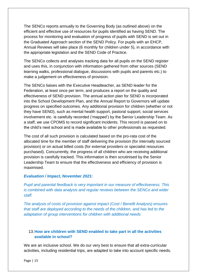The SENCo reports annually to the Governing Body (as outlined above) on the efficient and effective use of resources for pupils identified as having SEND. The process for monitoring and evaluation of progress of pupils with SEND is set out in the Graduated Approach section of the SEND Policy. For pupils with an EHCP, Annual Reviews will take place (6 monthly for children under 5), in accordance with the appropriate legislation and the SEND Code of Practice.

The SENCo collects and analyses tracking data for all pupils on the SEND register and uses this, in conjunction with information gathered from other sources (SEND learning walks, professional dialogue, discussions with pupils and parents etc.) to make a judgement on effectiveness of provision.

The SENCo liaises with the Executive Headteacher, as SEND leader for the Federation, at least once per term, and produces a report on the quality and effectiveness of SEND provision. The annual action plan for SEND is incorporated into the School Development Plan, and the Annual Report to Governors will update progress on specified outcomes. Any additional provision for children (whether or not they have SEND), such as mental health support, pastoral support, social services involvement etc. is carefully recorded ('mapped') by the Senior Leadership Team. As a staff, we use CPOMS to record significant incidents. This record is passed on to the child's next school and is made available to other professionals as requested.

The cost of all such provision is calculated based on the pro-rata cost of the allocated time for the member of staff delivering the provision (for internally sourced provision) or on actual billed costs (for external providers or specialist resources purchased). Concurrently, the progress of all children who are receiving additional provision is carefully tracked. This information is then scrutinised by the Senior Leadership Team to ensure that the effectiveness and efficiency of provision is maximised.

#### *Evaluation / Impact, November 2021:*

*Pupil and parental feedback is very important in our measure of effectiveness. This is combined with data analysis and regular reviews between the SENCo and wider staff.*

*The analysis of costs of provision against impact (Cost / Benefit Analysis) ensures that staff are deployed according to the needs of the children, and has led to the adaptation of group interventions for children with additional needs.* 

# 13.**How are children with SEND enabled to take part in all the activities available in school?**

We are an inclusive school. We do our very best to ensure that all extra-curricular activities, including residential trips, are adapted to take into account specific needs.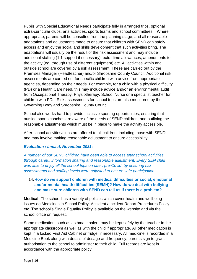Pupils with Special Educational Needs participate fully in arranged trips, optional extra-curricular clubs, arts activities, sports teams and school committees. Where appropriate, parents will be consulted from the planning stage, and all reasonable adaptations and adjustments made to ensure that children with SEND can safely access and enjoy the social and skills development that such activities bring. The adaptations will usually be the result of the risk assessment and may include additional staffing (1:1 support if necessary), extra time allowances, amendments to the activity (eg. through use of different equipment) etc. All activities within and outside school are covered by a risk assessment. These are carried out by the Premises Manager (Headteacher) and/or Shropshire County Council. Additional risk assessments are carried out for specific children with advice from appropriate agencies, depending on their needs. For example, for a child with a physical difficulty (PD) or a Health Care need, this may include advice and/or an environmental audit from Occupational Therapy, Physiotherapy, School Nurse or a specialist teacher for children with PDs. Risk assessments for school trips are also monitored by the Governing Body and Shropshire County Council.

School also works hard to provide inclusive sporting opportunities, ensuring that outside sports coaches are aware of the needs of SEND children, and outlining the reasonable adjustments which must be in place to make the activity accessible.

After-school activities/clubs are offered to all children, including those with SEND, and may involve making reasonable adjustment to ensure accessibility.

#### *Evaluation / Impact, November 2021:*

*A number of our SEND children have been able to access after school activities through careful information sharing and reasonable adjustment. Every SEN child was able to enjoy all the school trips on offer, pre-Covid, by ensuring risk assessments and staffing levels were adjusted to ensure safe participation.* 

# 14.**How do we support children with medical difficulties or social, emotional and/or mental health difficulties (SEMH)? How do we deal with bullying and make sure children with SEND can tell us if there is a problem?**

**Medical:** The school has a variety of policies which cover health and wellbeing issues eg Medicines in School Policy, Accident / Incident Report Procedures Policy etc. The school's Single Equality Policy is available on the website and via the school office on request.

Some medication, such as asthma inhalers may be kept safely by the teacher in the appropriate classroom as well as with the child if appropriate. All other medication is kept in a locked First Aid Cabinet or fridge, if necessary. All medicine is recorded in a Medicine Book along with details of dosage and frequency; parents sign to grant authorisation to the school to administer to their child. Full records are kept in accordance with the appropriate policy.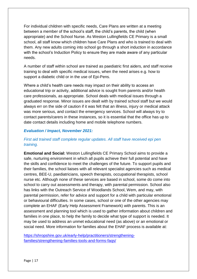For individual children with specific needs, Care Plans are written at a meeting between a member of the school's staff, the child's parents, the child (when appropriate) and the School Nurse. As Weston Lullingfields CE Primary is a small school, all staff know which children have Care Plans and who is trained to deal with them. Any new adults coming into school go through a short induction in accordance with the school's Induction Policy to ensure they are made aware of any particular needs.

A number of staff within school are trained as paediatric first aiders, and staff receive training to deal with specific medical issues, when the need arises e.g. how to support a diabetic child or in the use of Epi-Pens.

Where a child's health care needs may impact on their ability to access an educational trip or activity, additional advice is sought from parents and/or health care professionals, as appropriate. School deals with medical issues through a graduated response. Minor issues are dealt with by trained school staff but we would always err on the side of caution if it was felt that an illness, injury or medical attack was more serious, and contact the emergency services. School will always try to contact parents/carers in these instances, so it is essential that the office has up to date contact details including home and mobile telephone numbers.

## *Evaluation / Impact, November 2021:*

# *First aid trained staff complete regular updates. All staff have received epi pen training.*

**Emotional and Social:** Weston Lullingfields CE Primary School aims to provide a safe, nurturing environment in which all pupils achieve their full potential and have the skills and confidence to meet the challenges of the future. To support pupils and their families, the school liaises with all relevant specialist agencies such as medical centres, BEE-U, paediatricians, speech therapists, occupational therapists, school nurse etc. Although none of these services are based in school, some do come into school to carry out assessments and therapy, with parental permission. School also has links with the Outreach Service of Woodlands School, Wem, and may, with parental permission, refer for advice and support for a child with particular emotional or behavioural difficulties. In some cases, school or one of the other agencies may complete an EHAF (Early Help Assessment Framework) with parents. This is an assessment and planning tool which is used to gather information about children and families in one place, to help the family to decide what type of support is needed. It may be used to address an unmet educational need (as above) or an emotional or social need. More information for families about the EHAF process is available at:

[https://shropshire.gov.uk/early-help/practitioners/strengthening](https://shropshire.gov.uk/early-help/practitioners/strengthening-families/strengthening-families-tools-and-forms-faqs/)[families/strengthening-families-tools-and-forms-faqs/](https://shropshire.gov.uk/early-help/practitioners/strengthening-families/strengthening-families-tools-and-forms-faqs/)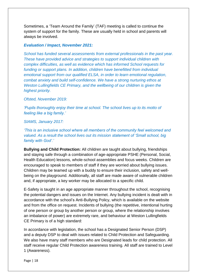Sometimes, a 'Team Around the Family' (TAF) meeting is called to continue the system of support for the family. These are usually held in school and parents will always be involved.

#### *Evaluation / Impact, November 2021:*

*School has funded several assessments from external professionals in the past year. These have provided advice and strategies to support individual children with complex difficulties, as well as evidence which has informed School requests for funding or support plans. In addition, children have benefitted from individual emotional support from our qualified ELSA, in order to learn emotional regulation, combat anxiety and build self-confidence. We have a strong nurturing ethos at Weston Lullingfields CE Primary, and the wellbeing of our children is given the highest priority.*

*Ofsted, November 2019:*

*'Pupils thoroughly enjoy their time at school. The school lives up to its motto of feeling like a big family.'*

*SIAMS, January 2017:*

*'This is an inclusive school where all members of the community feel welcomed and valued. As a result the school lives out its mission statement of 'Small school, big family with God'.'*

**Bullying and Child Protection:** All children are taught about bullying, friendships and staying safe through a combination of age-appropriate PSHE (Personal, Social, Health Education) lessons, whole-school assemblies and focus weeks. Children are encouraged to speak to members of staff if they are worried about bullying issues. Children may be teamed up with a buddy to ensure their inclusion, safety and wellbeing on the playground. Additionally, all staff are made aware of vulnerable children and, if appropriate, a key worker may be allocated to a specific child.

E-Safety is taught in an age appropriate manner throughout the school, recognising the potential dangers and issues on the Internet. Any bullying incident is dealt with in accordance with the school's Anti-Bullying Policy, which is available on the website and from the office on request. Incidents of bullying (the repetitive, intentional hurting of one person or group by another person or group, where the relationship involves an imbalance of power) are extremely rare, and behaviour at Weston Lullingfields CE Primary is of a high standard:

In accordance with legislation, the school has a Designated Senior Person (DSP) and a deputy DSP to deal with issues related to Child Protection and Safeguarding. We also have many staff members who are Designated leads for child protection. All staff receive regular Child Protection awareness training. All staff are trained to Level 1 (Awareness).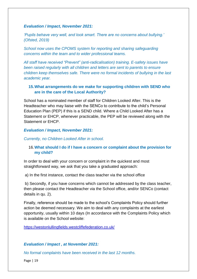## *Evaluation / Impact, November 2021:*

*'Pupils behave very well, and look smart. There are no concerns about bullying.' (Ofsted, 2019)*

*School now uses the CPOMS system for reporting and sharing safeguarding concerns within the team and to wider professional teams.*

*All staff have received "Prevent" (anti-radicalisation) training. E-safety issues have been raised regularly with all children and letters are sent to parents to ensure children keep themselves safe. There were no formal incidents of bullying in the last academic year.* 

## **15.What arrangements do we make for supporting children with SEND who are in the care of the Local Authority?**

School has a nominated member of staff for Children Looked After. This is the Headteacher who may liaise with the SENCo to contribute to the child's Personal Education Plan (PEP) if this is a SEND child. Where a Child Looked After has a Statement or EHCP, whenever practicable, the PEP will be reviewed along with the Statement or EHCP.

## *Evaluation / Impact, November 2021:*

*Currently, no Children Looked After in school.*

## 16.**What should I do if I have a concern or complaint about the provision for my child?**

In order to deal with your concern or complaint in the quickest and most straightforward way, we ask that you take a graduated approach:

a) In the first instance, contact the class teacher via the school office

b) Secondly, if you have concerns which cannot be addressed by the class teacher, then please contact the Headteacher via the School office, and/or SENCo (contact details in qu. 2).

Finally, reference should be made to the school's Complaints Policy should further action be deemed necessary. We aim to deal with any complaints at the earliest opportunity, usually within 10 days (In accordance with the Complaints Policy which is available on the School website:

<https://westonlullingfields.westcliffefederation.co.uk/>

## *Evaluation / Impact , at November 2021:*

*No formal complaints have been received in the last 12 months.*

Page | 19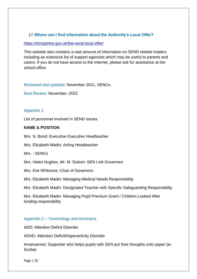## 17.**Where can I find information about the Authority's Local Offer?**

#### <https://shropshire.gov.uk/the-send-local-offer/>

This website also contains a vast amount of information on SEND related matters including an extensive list of support agencies which may be useful to parents and carers. If you do not have access to the internet, please ask for assistance at the school office

Reviewed and updated: November 2021, SENCo.

Next Review: November, 2022

## Appendix 1

List of personnel involved in SEND issues

#### **NAME & POSITION**

Mrs. N. Bond: Executive Executive Headteacher

Mrs. Elizabeth Madin: Acting Headteacher

Mrs. : SENCo

Mrs. Helen Hughes, Mr. M. Dulson: SEN Link Governors

Mrs. Eve Whitmore: Chair of Governors

Mrs. Elizabeth Madin: Managing Medical Needs Responsibility

Mrs. Elizabeth Madin: Designated Teacher with Specific Safeguarding Responsibility

Mrs. Elizabeth Madin: Managing Pupil Premium Grant / Children Looked After funding responsibility

#### Appendix 2 – Terminology and Acronyms

ADD: Attention Deficit Disorder

ADHD: Attention Deficit/Hyperactivity Disorder

Amanuensis: Supporter who helps pupils with SEN put their thoughts onto paper (ie. Scribe)

Page | 20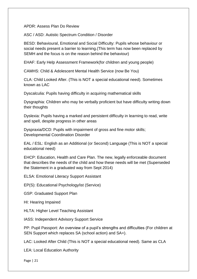APDR: Assess Plan Do Review

ASC / ASD: Autistic Spectrum Condition / Disorder

BESD: Behavioural, Emotional and Social Difficulty: Pupils whose behaviour or social needs present a barrier to learning.(This term has now been replaced by SEMH and the focus is on the reason behind the behaviour)

EHAF: Early Help Assessment Framework(for children and young people)

CAMHS: Child & Adolescent Mental Health Service (now Be You)

CLA: Child Looked After. (This is NOT a special educational need). Sometimes known as LAC

Dyscalculia: Pupils having difficulty in acquiring mathematical skills

Dysgraphia: Children who may be verbally proficient but have difficulty writing down their thoughts

Dyslexia: Pupils having a marked and persistent difficulty in learning to read, write and spell, despite progress in other areas

Dyspraxia/DCD: Pupils with impairment of gross and fine motor skills; Developmental Coordination Disorder

EAL / ESL: English as an Additional (or Second) Language (This is NOT a special educational need)

EHCP: Education, Health and Care Plan. The new, legally enforceable document that describes the needs of the child and how these needs will be met (Superseded the Statement in a graduated way from Sept 2014)

ELSA: Emotional Literacy Support Assistant

EP(S): Educational Psychology/ist (Service)

GSP: Graduated Support Plan

HI: Hearing Impaired

HLTA: Higher Level Teaching Assistant

IASS: Independent Advisory Support Service

PP: Pupil Passport: An overview of a pupil's strengths and difficulties (For children at SEN Support which replaces SA (school action) and SA+).

LAC: Looked After Child (This is NOT a special educational need). Same as CLA

LEA: Local Education Authority

Page | 21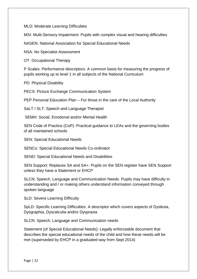MLD: Moderate Learning Difficulties

MSI: Multi-Sensory Impairment: Pupils with complex visual and hearing difficulties

NASEN: National Association for Special Educational Needs

NSA: No Specialist Assessment

OT: Occupational Therapy

P Scales: Performance descriptors: A common basis for measuring the progress of pupils working up to level 1 in all subjects of the National Curriculum

PD: Physical Disability

PECS: Picture Exchange Communication System

PEP Personal Education Plan – For those in the care of the Local Authority

SaLT / SLT: Speech and Language Therapist

SEMH: Social, Emotional and/or Mental Health

SEN Code of Practice (CoP): Practical guidance to LEAs and the governing bodies of all maintained schools

SEN: Special Educational Needs

SENCo: Special Educational Needs Co-ordinator

SEND: Special Educational Needs and Disabilities

SEN Support: Replaces SA and SA+: Pupils on the SEN register have SEN Support unless they have a Statement or EHCP

SLCN: Speech, Language and Communication Needs. Pupils may have difficulty in understanding and / or making others understand information conveyed through spoken language

SLD: Severe Learning Difficulty

SpLD: Specific Learning Difficulties: A descriptor which covers aspects of Dyslexia, Dysgraphia, Dyscalculia and/or Dyspraxia

SLCN: Speech, Language and Communication needs

Statement (of Special Educational Needs): Legally enforceable document that describes the special educational needs of the child and how these needs will be met (superseded by EHCP in a graduated way from Sept 2014)